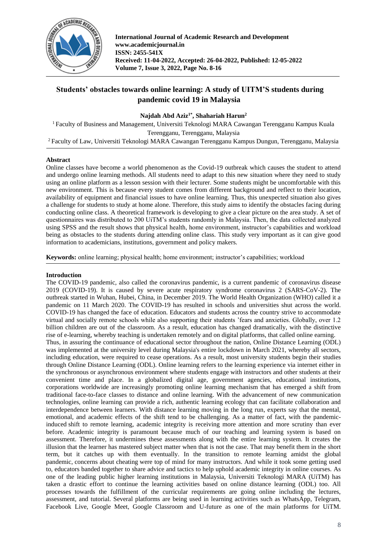

# **Students' obstacles towards online learning: A study of UITM'S students during pandemic covid 19 in Malaysia**

### **Najdah Abd Aziz1\* , Shahariah Harun<sup>2</sup>**

<sup>1</sup> Faculty of Business and Management, Universiti Teknologi MARA Cawangan Terengganu Kampus Kuala Terengganu, Terengganu, Malaysia

<sup>2</sup> Faculty of Law, Universiti Teknologi MARA Cawangan Terengganu Kampus Dungun, Terengganu, Malaysia

### **Abstract**

Online classes have become a world phenomenon as the Covid-19 outbreak which causes the student to attend and undergo online learning methods. All students need to adapt to this new situation where they need to study using an online platform as a lesson session with their lecturer. Some students might be uncomfortable with this new environment. This is because every student comes from different background and reflect to their location, availability of equipment and financial issues to have online learning. Thus, this unexpected situation also gives a challenge for students to study at home alone. Therefore, this study aims to identify the obstacles facing during conducting online class. A theoretical framework is developing to give a clear picture on the area study. A set of questionnaires was distributed to 200 UiTM's students randomly in Malaysia. Then, the data collected analyzed using SPSS and the result shows that physical health, home environment, instructor's capabilities and workload being as obstacles to the students during attending online class. This study very important as it can give good information to academicians, institutions, government and policy makers.

**Keywords:** online learning; physical health; home environment; instructor's capabilities; workload

### **Introduction**

The COVID-19 pandemic, also called the coronavirus pandemic, is a current pandemic of coronavirus disease 2019 (COVID-19). It is caused by severe acute respiratory syndrome coronavirus 2 (SARS-CoV-2). The outbreak started in Wuhan, Hubei, China, in December 2019. The World Health Organization (WHO) called it a pandemic on 11 March 2020. The COVID-19 has resulted in schools and universities shut across the world. COVID-19 has changed the face of education. Educators and students across the country strive to accommodate virtual and socially remote schools while also supporting their students 'fears and anxieties. Globally, over 1.2 billion children are out of the classroom. As a result, education has changed dramatically, with the distinctive rise of e-learning, whereby teaching is undertaken remotely and on digital platforms, that called online earning. Thus, in assuring the continuance of educational sector throughout the nation, Online Distance Learning (ODL) was implemented at the university level during Malaysia's entire lockdown in March 2021, whereby all sectors, including education, were required to cease operations. As a result, most university students begin their studies through Online Distance Learning (ODL). Online learning refers to the learning experience via internet either in the synchronous or asynchronous environment where students engage with instructors and other students at their convenient time and place. In a globalized digital age, government agencies, educational institutions, corporations worldwide are increasingly promoting online learning mechanism that has emerged a shift from traditional face-to-face classes to distance and online learning. With the advancement of new communication technologies, online learning can provide a rich, authentic learning ecology that can facilitate collaboration and interdependence between learners. With distance learning moving in the long run, experts say that the mental, emotional, and academic effects of the shift tend to be challenging. As a matter of fact, with the pandemicinduced shift to remote learning, academic integrity is receiving more attention and more scrutiny than ever before. Academic integrity is paramount because much of our teaching and learning system is based on assessment. Therefore, it undermines these assessments along with the entire learning system. It creates the illusion that the learner has mastered subject matter when that is not the case. That may benefit them in the short term, but it catches up with them eventually. In the transition to remote learning amidst the global pandemic, concerns about cheating were top of mind for many instructors. And while it took some getting used to, educators banded together to share advice and tactics to help uphold academic integrity in online courses. As one of the leading public higher learning institutions in Malaysia, Universiti Teknologi MARA (UiTM) has taken a drastic effort to continue the learning activities based on online distance learning (ODL) too. All processes towards the fulfillment of the curricular requirements are going online including the lectures, assessment, and tutorial. Several platforms are being used in learning activities such as WhatsApp, Telegram, Facebook Live, Google Meet, Google Classroom and U-future as one of the main platforms for UiTM.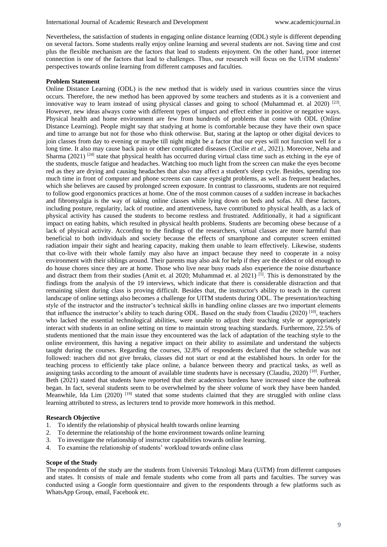Nevertheless, the satisfaction of students in engaging online distance learning (ODL) style is different depending on several factors. Some students really enjoy online learning and several students are not. Saving time and cost plus the flexible mechanism are the factors that lead to students enjoyment. On the other hand, poor internet connection is one of the factors that lead to challenges. Thus, our research will focus on the UiTM students' perspectives towards online learning from different campuses and faculties.

#### **Problem Statement**

Online Distance Learning (ODL) is the new method that is widely used in various countries since the virus occurs. Therefore, the new method has been approved by some teachers and students as it is a convenient and innovative way to learn instead of using physical classes and going to school (Muhammad et. al 2020)  $^{[23]}$ . However, new ideas always come with different types of impact and effect either in positive or negative ways. Physical health and home environment are few from hundreds of problems that come with ODL (Online Distance Learning). People might say that studying at home is comfortable because they have their own space and time to arrange but not for those who think otherwise. But, staring at the laptop or other digital devices to join classes from day to evening or maybe till night might be a factor that our eyes will not function well for a long time. It also may cause back pain or other complicated diseases (Cecilie *et al*., 2021). Moreover, Neha and Sharma (2021)  $[24]$  state that physical health has occurred during virtual class time such as etching in the eye of the students, muscle fatigue and headaches. Watching too much light from the screen can make the eyes become red as they are drying and causing headaches that also may affect a student's sleep cycle. Besides, spending too much time in front of computer and phone screens can cause eyesight problems, as well as frequent headaches, which she believes are caused by prolonged screen exposure. In contrast to classrooms, students are not required to follow good ergonomics practices at home. One of the most common causes of a sudden increase in backaches and fibromyalgia is the way of taking online classes while lying down on beds and sofas. All these factors, including posture, regularity, lack of routine, and attentiveness, have contributed to physical health, as a lack of physical activity has caused the students to become restless and frustrated. Additionally, it had a significant impact on eating habits, which resulted in physical health problems. Students are becoming obese because of a lack of physical activity. According to the findings of the researchers, virtual classes are more harmful than beneficial to both individuals and society because the effects of smartphone and computer screen emitted radiation impair their sight and hearing capacity, making them unable to learn effectively. Likewise, students that co-live with their whole family may also have an impact because they need to cooperate in a noisy environment with their siblings around. Their parents may also ask for help if they are the eldest or old enough to do house chores since they are at home. Those who live near busy roads also experience the noise disturbance and distract them from their studies (Amit et. al 2020; Muhammad et. al 2021) [5]. This is demonstrated by the findings from the analysis of the 19 interviews, which indicate that there is considerable distraction and that remaining silent during class is proving difficult. Besides that, the instructor's ability to teach in the current landscape of online settings also becomes a challenge for UITM students during ODL. The presentation/teaching style of the instructor and the instructor's technical skills in handling online classes are two important elements that influence the instructor's ability to teach during ODL. Based on the study from Claudiu (2020) [10], teachers who lacked the essential technological abilities, were unable to adjust their teaching style or appropriately interact with students in an online setting on time to maintain strong teaching standards. Furthermore, 22.5% of students mentioned that the main issue they encountered was the lack of adaptation of the teaching style to the online environment, this having a negative impact on their ability to assimilate and understand the subjects taught during the courses. Regarding the courses, 32.8% of respondents declared that the schedule was not followed: teachers did not give breaks, classes did not start or end at the established hours. In order for the teaching process to efficiently take place online, a balance between theory and practical tasks, as well as assigning tasks according to the amount of available time students have is necessary (Claudiu, 2020) [10]. Further, Beth (2021) stated that students have reported that their academics burdens have increased since the outbreak began. In fact, several students seem to be overwhelmed by the sheer volume of work they have been handed. Meanwhile, Ida Lim  $(2020)$ <sup>[19]</sup> stated that some students claimed that they are struggled with online class learning attributed to stress, as lecturers tend to provide more homework in this method.

#### **Research Objective**

- 1. To identify the relationship of physical health towards online learning
- 2. To determine the relationship of the home environment towards online learning
- 3. To investigate the relationship of instructor capabilities towards online learning.
- 4. To examine the relationship of students' workload towards online class

#### **Scope of the Study**

The respondents of the study are the students from Universiti Teknologi Mara (UiTM) from different campuses and states. It consists of male and female students who come from all parts and faculties. The survey was conducted using a Google form questionnaire and given to the respondents through a few platforms such as WhatsApp Group, email, Facebook etc.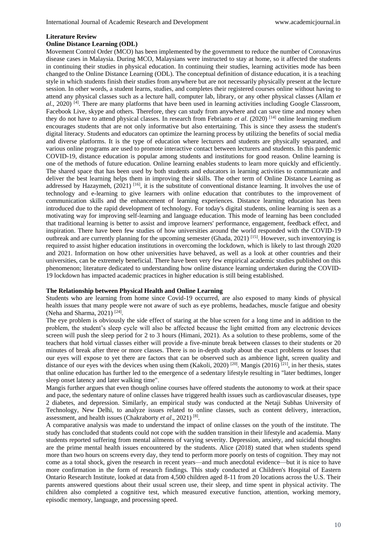#### **Literature Review**

#### **Online Distance Learning (ODL)**

Movement Control Order (MCO) has been implemented by the government to reduce the number of Coronavirus disease cases in Malaysia. During MCO, Malaysians were instructed to stay at home, so it affected the students in continuing their studies in physical education. In continuing their studies, learning activities mode has been changed to the Online Distance Learning (ODL). The conceptual definition of distance education, it is a teaching style in which students finish their studies from anywhere but are not necessarily physically present at the lecture session. In other words, a student learns, studies, and completes their registered courses online without having to attend any physical classes such as a lecture hall, computer lab, library, or any other physical classes (Allam *et al.*, 2020) <sup>[4]</sup>. There are many platforms that have been used in learning activities including Google Classroom, Facebook Live, skype and others. Therefore, they can study from anywhere and can save time and money when they do not have to attend physical classes. In research from Febrianto *et al*. (2020) [14] online learning medium encourages students that are not only informative but also entertaining. This is since they assess the student's digital literacy. Students and educators can optimize the learning process by utilizing the benefits of social media and diverse platforms. It is the type of education where lecturers and students are physically separated, and various online programs are used to promote interactive contact between lecturers and students. In this pandemic COVID-19, distance education is popular among students and institutions for good reason. Online learning is one of the methods of future education. Online learning enables students to learn more quickly and efficiently. The shared space that has been used by both students and educators in learning activities to communicate and deliver the best learning helps them in improving their skills. The other term of Online Distance Learning as addressed by Hazaymeh,  $(2021)$  [16], it is the substitute of conventional distance learning. It involves the use of technology and e-learning to give learners with online education that contributes to the improvement of communication skills and the enhancement of learning experiences. Distance learning education has been introduced due to the rapid development of technology. For today's digital students, online learning is seen as a motivating way for improving self-learning and language education. This mode of learning has been concluded that traditional learning is better to assist and improve learners' performance, engagement, feedback effect, and inspiration. There have been few studies of how universities around the world responded with the COVID-19 outbreak and are currently planning for the upcoming semester (Ghada, 2021) [15]. However, such inventorying is required to assist higher education institutions in overcoming the lockdown, which is likely to last through 2020 and 2021. Information on how other universities have behaved, as well as a look at other countries and their universities, can be extremely beneficial. There have been very few empirical academic studies published on this phenomenon; literature dedicated to understanding how online distance learning undertaken during the COVID-19 lockdown has impacted academic practices in higher education is still being established.

#### **The Relationship between Physical Health and Online Learning**

Students who are learning from home since Covid-19 occurred, are also exposed to many kinds of physical health issues that many people were not aware of such as eye problems, headaches, muscle fatigue and obesity (Neha and Sharma, 2021) [24] .

The eye problem is obviously the side effect of staring at the blue screen for a long time and in addition to the problem, the student's sleep cycle will also be affected because the light emitted from any electronic devices screen will push the sleep period for 2 to 3 hours (Himani, 2021). As a solution to these problems, some of the teachers that hold virtual classes either will provide a five-minute break between classes to their students or 20 minutes of break after three or more classes. There is no in-depth study about the exact problems or losses that our eyes will expose to yet there are factors that can be observed such as ambience light, screen quality and distance of our eyes with the devices when using them (Kakoli, 2020) <sup>[20]</sup>. Mangis (2016) <sup>[21]</sup>, in her thesis, states that online education has further led to the emergence of a sedentary lifestyle resulting in "later bedtimes, longer sleep onset latency and later walking time".

Mangis further argues that even though online courses have offered students the autonomy to work at their space and pace, the sedentary nature of online classes have triggered health issues such as cardiovascular diseases, type 2 diabetes, and depression. Similarly, an empirical study was conducted at the Netaji Subhas University of Technology, New Delhi, to analyze issues related to online classes, such as content delivery, interaction, assessment, and health issues (Chakraborty *et al*., 2021) [8] .

A comparative analysis was made to understand the impact of online classes on the youth of the institute. The study has concluded that students could not cope with the sudden transition in their lifestyle and academia. Many students reported suffering from mental ailments of varying severity. Depression, anxiety, and suicidal thoughts are the prime mental health issues encountered by the students. Alice (2018) stated that when students spend more than two hours on screens every day, they tend to perform more poorly on tests of cognition. They may not come as a total shock, given the research in recent years—and much anecdotal evidence—but it is nice to have more confirmation in the form of research findings. This study conducted at Children's Hospital of Eastern Ontario Research Institute, looked at data from 4,500 children aged 8-11 from 20 locations across the U.S. Their parents answered questions about their usual screen use, their sleep, and time spent in physical activity. The children also completed a cognitive test, which measured executive function, attention, working memory, episodic memory, language, and processing speed.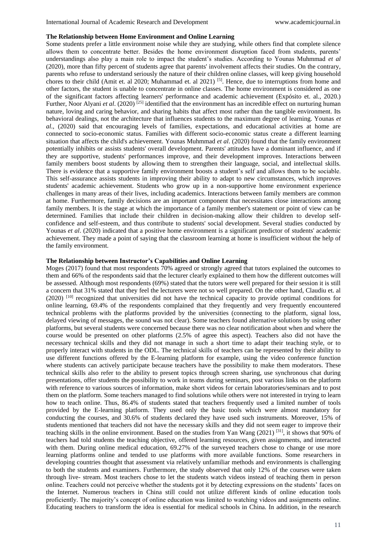#### **The Relationship between Home Environment and Online Learning**

Some students prefer a little environment noise while they are studying, while others find that complete silence allows them to concentrate better. Besides the home environment disruption faced from students, parents' understandings also play a main role to impact the student's studies. According to Younas Muhmmad *et al* (2020), more than fifty percent of students agree that parents' involvement affects their studies. On the contrary, parents who refuse to understand seriously the nature of their children online classes, will keep giving household chores to their child (Amit et. al 2020; Muhammad et. al 2021) <sup>[5]</sup>. Hence, due to interruptions from home and other factors, the student is unable to concentrate in online classes. The home environment is considered as one of the significant factors affecting learners' performance and academic achievement (Expósito et. al., 2020.) Further, Noor Alyani *et al.* (2020)<sup>[25]</sup> identified that the environment has an incredible effect on nurturing human nature, loving and caring behavior, and sharing habits that affect most rather than the tangible environment. Its behavioral dealings, not the architecture that influences students to the maximum degree of learning. Younas *et al*., (2020) said that encouraging levels of families, expectations, and educational activities at home are connected to socio-economic status. Families with different socio-economic status create a different learning situation that affects the child's achievement. Younas Muhmmad *et al*. (2020) found that the family environment potentially inhibits or assists students' overall development. Parents' attitudes have a dominant influence, and if they are supportive, students' performances improve, and their development improves. Interactions between family members boost students by allowing them to strengthen their language, social, and intellectual skills. There is evidence that a supportive family environment boosts a student's self and allows them to be sociable. This self-assurance assists students in improving their ability to adapt to new circumstances, which improves students' academic achievement. Students who grow up in a non-supportive home environment experience challenges in many areas of their lives, including academics. Interactions between family members are common at home. Furthermore, family decisions are an important component that necessitates close interactions among family members. It is the stage at which the importance of a family member's statement or point of view can be determined. Families that include their children in decision-making allow their children to develop selfconfidence and self-esteem, and thus contribute to students' social development. Several studies conducted by Younas *et al.* (2020) indicated that a positive home environment is a significant predictor of students' academic achievement. They made a point of saying that the classroom learning at home is insufficient without the help of the family environment.

#### **The Relationship between Instructor's Capabilities and Online Learning**

Moges (2017) found that most respondents 70% agreed or strongly agreed that tutors explained the outcomes to them and 66% of the respondents said that the lecturer clearly explained to them how the different outcomes will be assessed. Although most respondents (69%) stated that the tutors were well prepared for their session it is still a concern that 31% stated that they feel the lecturers were not so well prepared. On the other hand, Claudiu et. al (2020) [10] recognized that universities did not have the technical capacity to provide optimal conditions for online learning, 69.4% of the respondents complained that they frequently and very frequently encountered technical problems with the platforms provided by the universities (connecting to the platform, signal loss, delayed viewing of messages, the sound was not clear). Some teachers found alternative solutions by using other platforms, but several students were concerned because there was no clear notification about when and where the course would be presented on other platforms (2.5% of agree this aspect). Teachers also did not have the necessary technical skills and they did not manage in such a short time to adapt their teaching style, or to properly interact with students in the ODL. The technical skills of teachers can be represented by their ability to use different functions offered by the E-learning platform for example, using the video conference function where students can actively participate because teachers have the possibility to make them moderators. These technical skills also refer to the ability to present topics through screen sharing, use synchronous chat during presentations, offer students the possibility to work in teams during seminars, post various links on the platform with reference to various sources of information, make short videos for certain laboratories/seminars and to post them on the platform. Some teachers managed to find solutions while others were not interested in trying to learn how to teach online. Thus, 86.4% of students stated that teachers frequently used a limited number of tools provided by the E-learning platform. They used only the basic tools which were almost mandatory for conducting the courses, and 30.6% of students declared they have used such instruments. Moreover, 15% of students mentioned that teachers did not have the necessary skills and they did not seem eager to improve their teaching skills in the online environment. Based on the studies from Yan Wang (2021) [31], it shows that 90% of teachers had told students the teaching objective, offered learning resources, given assignments, and interacted with them. During online medical education, 69.27% of the surveyed teachers chose to change or use more learning platforms online and tended to use platforms with more available functions. Some researchers in developing countries thought that assessment via relatively unfamiliar methods and environments is challenging to both the students and examiners. Furthermore, the study observed that only 12% of the courses were taken through live- stream. Most teachers chose to let the students watch videos instead of teaching them in person online. Teachers could not perceive whether the students got it by detecting expressions on the students' faces on the Internet. Numerous teachers in China still could not utilize different kinds of online education tools proficiently. The majority's concept of online education was limited to watching videos and assignments online. Educating teachers to transform the idea is essential for medical schools in China. In addition, in the research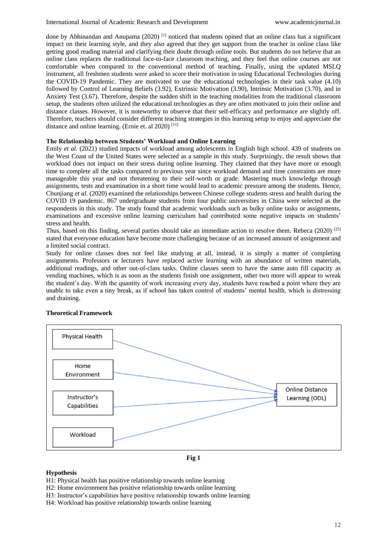done by Abhinandan and Anupama (2020)<sup>[1]</sup> noticed that students opined that an online class has a significant impact on their learning style, and they also agreed that they get support from the teacher in online class like getting good reading material and clarifying their doubt through online tools. But students do not believe that an online class replaces the traditional face-to-face classroom teaching, and they feel that online courses are not comfortable when compared to the conventional method of teaching. Finally, using the updated MSLQ instrument, all freshmen students were asked to score their motivation in using Educational Technologies during the COVID-19 Pandemic. They are motivated to use the educational technologies in their task value (4.10) followed by Control of Learning Beliefs (3.92), Extrinsic Motivation (3.90), Intrinsic Motivation (3.70), and in Anxiety Test (3.67). Therefore, despite the sudden shift in the teaching modalities from the traditional classroom setup, the students often utilized the educational technologies as they are often motivated to join their online and distance classes. However, it is noteworthy to observe that their self-efficacy and performance are slightly off. Therefore, teachers should consider different teaching strategies in this learning setup to enjoy and appreciate the distance and online learning. (Ernie et. al 2020)<sup>[11]</sup>

### **The Relationship between Students' Workload and Online Learning**

Emily *et al*. (2021) studied impacts of workload among adolescents in English high school. 439 of students on the West Coast of the United States were selected as a sample in this study. Surprisingly, the result shows that workload does not impact on their stress during online learning. They claimed that they have more or enough time to complete all the tasks compared to previous year since workload demand and time constraints are more manageable this year and not threatening to their self-worth or grade. Mastering much knowledge through assignments, tests and examination in a short time would lead to academic pressure among the students. Hence, Chunjiang *et al*. (2020) examined the relationships between Chinese college students stress and health during the COVID 19 pandemic. 867 undergraduate students from four public universities in China were selected as the respondents in this study. The study found that academic workloads such as bulky online tasks or assignments, examinations and excessive online learning curriculum had contributed some negative impacts on students' stress and health.

Thus, based on this finding, several parties should take an immediate action to resolve them. Rebeca (2020)  $^{[25]}$ stated that everyone education have become more challenging because of an increased amount of assignment and a limited social contract.

Study for online classes does not feel like studying at all, instead, it is simply a matter of completing assignments. Professors or lecturers have replaced active learning with an abundance of written materials, additional readings, and other out-of-class tasks. Online classes seem to have the same auto fill capacity as vending machines, which is as soon as the students finish one assignment, other two more will appear to wreak the student's day. With the quantity of work increasing every day, students have reached a point where they are unable to take even a tiny break, as if school has taken control of students' mental health, which is distressing and draining.



### **Theoretical Framework**

**Fig 1**

### **Hypothesis**

- H1: Physical health has positive relationship towards online learning
- H2: Home environment has positive relationship towards online learning
- H3: Instructor's capabilities have positive relationship towards online learning
- H4: Workload has positive relationship towards online learning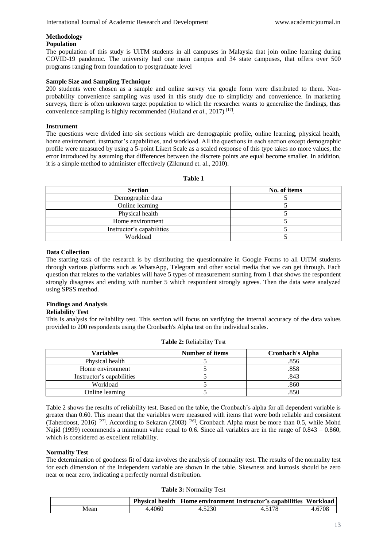# **Methodology**

### **Population**

The population of this study is UiTM students in all campuses in Malaysia that join online learning during COVID-19 pandemic. The university had one main campus and 34 state campuses, that offers over 500 programs ranging from foundation to postgraduate level

### **Sample Size and Sampling Technique**

200 students were chosen as a sample and online survey via google form were distributed to them. Nonprobability convenience sampling was used in this study due to simplicity and convenience. In marketing surveys, there is often unknown target population to which the researcher wants to generalize the findings, thus convenience sampling is highly recommended (Hulland *et al.*, 2017)<sup>[17]</sup>.

### **Instrument**

The questions were divided into six sections which are demographic profile, online learning, physical health, home environment, instructor's capabilities, and workload. All the questions in each section except demographic profile were measured by using a 5-point Likert Scale as a scaled response of this type takes no more values, the error introduced by assuming that differences between the discrete points are equal become smaller. In addition, it is a simple method to administer effectively (Zikmund et. al., 2010).

**Table 1**

| <b>Section</b>            | No. of items |
|---------------------------|--------------|
| Demographic data          |              |
| Online learning           |              |
| Physical health           |              |
| Home environment          |              |
| Instructor's capabilities |              |
| Workload                  |              |

#### **Data Collection**

The starting task of the research is by distributing the questionnaire in Google Forms to all UiTM students through various platforms such as WhatsApp, Telegram and other social media that we can get through. Each question that relates to the variables will have 5 types of measurement starting from 1 that shows the respondent strongly disagrees and ending with number 5 which respondent strongly agrees. Then the data were analyzed using SPSS method.

# **Findings and Analysis**

## **Reliability Test**

This is analysis for reliability test. This section will focus on verifying the internal accuracy of the data values provided to 200 respondents using the Cronbach's Alpha test on the individual scales.

| Variables                 | <b>Number of items</b> | <b>Cronbach's Alpha</b> |
|---------------------------|------------------------|-------------------------|
| Physical health           |                        | .856                    |
| Home environment          |                        | .858                    |
| Instructor's capabilities |                        | .843                    |
| Workload                  |                        | .860                    |
| Online learning           |                        | 850                     |

| <b>Table 2: Reliability Test</b> |  |
|----------------------------------|--|
|----------------------------------|--|

Table 2 shows the results of reliability test. Based on the table, the Cronbach's alpha for all dependent variable is greater than 0.60. This meant that the variables were measured with items that were both reliable and consistent (Taherdoost, 2016) <sup>[27]</sup>. According to Sekaran (2003) <sup>[26]</sup>, Cronbach Alpha must be more than 0.5, while Mohd Najid (1999) recommends a minimum value equal to 0.6. Since all variables are in the range of 0.843 – 0.860, which is considered as excellent reliability.

#### **Normality Test**

The determination of goodness fit of data involves the analysis of normality test. The results of the normality test for each dimension of the independent variable are shown in the table. Skewness and kurtosis should be zero near or near zero, indicating a perfectly normal distribution.

|  |  | Table 3: Normality Test |  |  |
|--|--|-------------------------|--|--|
|--|--|-------------------------|--|--|

|      | <b>Physical health</b> |      | Home environment Instructor's capabilities  Workload |        |
|------|------------------------|------|------------------------------------------------------|--------|
| Mean | .4060                  | 5230 |                                                      | 4.6708 |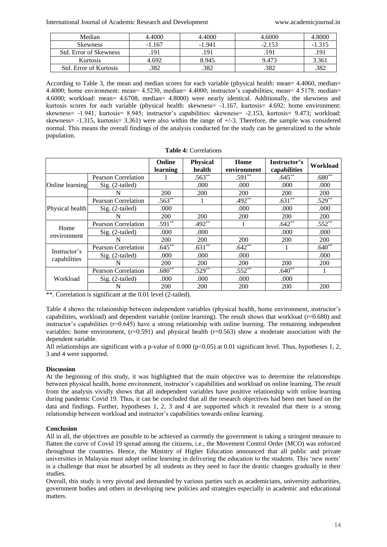International Journal of Academic Research and Development www.academicjournal.in

| Median                        | 4.4000   | 4.4000   | 4.6000   | .8000  |
|-------------------------------|----------|----------|----------|--------|
| <b>Skewness</b>               | $-1.167$ | $-1.941$ | $-2.153$ | -1.315 |
| <b>Std. Error of Skewness</b> | .191     | 191      | .191     | .191   |
| Kurtosis                      | 4.692    | 8.945    | 9.473    | 3.361  |
| <b>Std.</b> Error of Kurtosis | 382      | .382     | .382     | .382   |

According to Table 3, the mean and median scores for each variable (physical health: mean= 4.4060, median= 4.4000; home environment: mean= 4.5230, median= 4.4000; instructor's capabilities; mean= 4.5178, median= 4.6000; workload: mean= 4.6708, median= 4.8000) were nearly identical. Additionally, the skewness and kurtosis scores for each variable (physical health: skewness= -1.167, kurtosis= 4.692; home environment: skewness= -1.941, kurtosis= 8.945; instructor's capabilities: skewness= -2.153, kurtosis= 9.473; workload: skewness=  $-1.315$ , kurtosis= 3.361) were also within the range of  $+/-3$ . Therefore, the sample was considered normal. This means the overall findings of the analysis conducted for the study can be generalized to the whole population.

| <b>Table 4: Correlations</b> |
|------------------------------|
|------------------------------|

|                              |                            | Online<br>learning | <b>Physical</b><br>health | Home<br>environment | Instructor's<br>capabilities | Workload   |
|------------------------------|----------------------------|--------------------|---------------------------|---------------------|------------------------------|------------|
|                              | Pearson Correlation        |                    | $.563**$                  | $.591**$            | $.645**$                     | $.680**$   |
| Online learning              | Sig. (2-tailed)            |                    | .000.                     | .000                | .000                         | .000       |
|                              | N                          | 200                | <b>200</b>                | <b>200</b>          | 200                          | <b>200</b> |
|                              | <b>Pearson Correlation</b> | $.563**$           |                           | $.492**$            | $.631**$                     | $.529**$   |
| Physical health              | Sig. (2-tailed)            | .000               |                           | .000                | .000                         | .000       |
|                              | N                          | 200                | <b>200</b>                | <b>200</b>          | <b>200</b>                   | <b>200</b> |
| Home<br>environment          | <b>Pearson Correlation</b> | $.591**$           | $.492**$                  |                     | $.642**$                     | $.552***$  |
|                              | Sig. (2-tailed)            | .000               | .000                      |                     | .000                         | .000       |
|                              | N                          | 200                | 200                       | <b>200</b>          | 200                          | 200        |
| Instructor's<br>capabilities | <b>Pearson Correlation</b> | $.645**$           | $.631**$                  | $.642**$            |                              | $.640**$   |
|                              | $Sig. (2-tailed)$          | .000               | .000                      | .000                |                              | .000       |
|                              | N                          | 200                | <b>200</b>                | 200                 | 200                          | 200        |
| Workload                     | <b>Pearson Correlation</b> | $.680**$           | $.529$ <sup>**</sup>      | $.552**$            | $.640**$                     |            |
|                              | Sig. (2-tailed)            | .000               | .000                      | .000                | .000                         |            |
|                              | N                          | 200                | 200                       | 200                 | 200                          | 200        |

\*\*. Correlation is significant at the 0.01 level (2-tailed).

Table 4 shows the relationship between independent variables (physical health, home environment, instructor's capabilities, workload) and dependent variable (online learning). The result shows that workload (r=0.680) and instructor's capabilities  $(r=0.645)$  have a strong relationship with online learning. The remaining independent variables: home environment,  $(r=0.591)$  and physical health  $(r=0.563)$  show a moderate association with the dependent variable.

All relationships are significant with a p-value of 0.000 ( $p<0.05$ ) at 0.01 significant level. Thus, hypotheses 1, 2, 3 and 4 were supported.

### **Discussion**

At the beginning of this study, it was highlighted that the main objective was to determine the relationships between physical health, home environment, instructor's capabilities and workload on online learning. The result from the analysis vividly shows that all independent variables have positive relationship with online learning during pandemic Covid 19. Thus, it can be concluded that all the research objectives had been met based on the data and findings. Further, hypotheses 1, 2, 3 and 4 are supported which it revealed that there is a strong relationship between workload and instructor's capabilities towards online learning.

#### **Conclusion**

All in all, the objectives are possible to be achieved as currently the government is taking a stringent measure to flatten the curve of Covid 19 spread among the citizens, i.e., the Movement Control Order (MCO) was enforced throughout the countries. Hence, the Ministry of Higher Education announced that all public and private universities in Malaysia must adopt online learning in delivering the education to the students. This 'new norm' is a challenge that must be absorbed by all students as they need to face the drastic changes gradually in their studies.

Overall, this study is very pivotal and demanded by various parties such as academicians, university authorities, government bodies and others in developing new policies and strategies especially in academic and educational matters.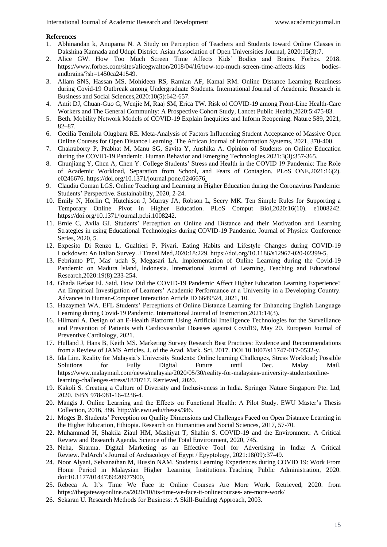#### **References**

- 1. Abhinandan k, Anupama N. A Study on Perception of Teachers and Students toward Online Classes in Dakshina Kannada and Udupi District. Asian Association of Open Universities Journal, 2020:15(3):7.
- 2. Alice GW. How Too Much Screen Time Affects Kids' Bodies and Brains. Forbes. 2018. https://www.forbes.com/sites/alicegwalton/2018/04/16/how-too-much-screen-time-affects-kids bodiesandbrains/?sh=1450ca241549.
- 3. Allam SNS, Hassan MS, Mohideen RS, Ramlan AF, Kamal RM. Online Distance Learning Readiness during Covid-19 Outbreak among Undergraduate Students. International Journal of Academic Research in Business and Social Sciences,2020:10(5):642-657.
- 4. Amit DJ, Chuan-Guo G, Wenjie M, Raaj SM, Erica TW. Risk of COVID-19 among Front-Line Health-Care Workers and The General Community: A Prospective Cohort Study, Lancet Public Health,2020:5:475-83.
- 5. Beth. Mobility Network Models of COVID-19 Explain Inequities and Inform Reopening. Nature 589, 2021, 82–87.
- 6. Cecilia Temilola Olugbara RE. Meta-Analysis of Factors Influencing Student Acceptance of Massive Open Online Courses for Open Distance Learning. The African Journal of Information Systems, 2021, 370-400.
- 7. Chakraborty P, Prabhat M, Manu SG, Savita Y, Anshika A. Opinion of Students on Online Education during the COVID-19 Pandemic. Human Behavior and Emerging Technologies,2021:3(3):357-365.
- 8. Chunjiang Y, Chen A, Chen Y. College Students' Stress and Health in the COVID 19 Pandemic: The Role of Academic Workload, Separation from School, and Fears of Contagion. PLoS ONE,2021:16(2). e0246676. https://doi.org/10.1371/journal.pone.0246676.
- 9. Claudiu Coman LGS. Online Teaching and Learning in Higher Education during the Coronavirus Pandemic: Students' Perspective. Sustainability, 2020, 2-24.
- 10. Emily N, Horlin C, Hutchison J, Murray JA, Robson L, Seery MK. Ten Simple Rules for Supporting a Temporary Online Pivot in Higher Education. PLoS Comput Biol,2020:16(10). e1008242. https://doi.org/10.1371/journal.pcbi.1008242.
- 11. Ernie C, Avila GJ. Students' Perception on Online and Distance and their Motivation and Learning Strategies in using Educational Technologies during COVID-19 Pandemic. Journal of Physics: Conference Series, 2020, 5.
- 12. Expesito Di Renzo L, Gualtieri P, Pivari. Eating Habits and Lifestyle Changes during COVID-19 Lockdown: An Italian Survey. J Transl Med,2020:18:229. https://doi.org/10.1186/s12967-020-02399-5.
- 13. Febrianto PT, Mas' udah S, Megasari LA. lmplementation of Online Learning during the Covid-19 Pandemic on Madura lsland, lndonesia. lnternational Joumal of Learning, Teaching and Educational Research,2020:19(8):233-254.
- 14. Ghada Refaat El. Said. How Did the COVID-19 Pandemic Affect Higher Education Learning Experience? An Empirical Investigation of Learners' Academic Performance at a University in a Developing Country. Advances in Human-Computer Interaction Article ID 6649524, 2021, 10.
- 15. Hazaymeh WA. EFL Students' Perceptions of Online Distance Learning for Enhancing English Language Learning during Covid-19 Pandemic. International Journal of Instruction,2021:14(3).
- 16. Hilmani A. Design of an E-Health Platform Using Artificial Intelligence Technologies for the Surveillance and Prevention of Patients with Cardiovascular Diseases against Covid19, May 20. European Journal of Preventive Cardiology, 2021.
- 17. Hulland J, Hans B, Keith MS. Marketing Survey Research Best Practices: Evidence and Recommendations from a Review of JAMS Articles. J. of the Acad. Mark. Sci, 2017. DOI 10.1007/s11747-017-0532-y.
- 18. Ida Lim. Reality for Malaysia's University Students: Online learning Challenges, Stress Workload; Possible Solutions for Fully Digital Future until Dec. Malay Mail. https://www.malaymail.com/news/malaysia/2020/05/30/reality-for-malaysias-university-studentsonlinelearning-challenges-stress/1870717. Retrieved, 2020.
- 19. Kakoli S. Creating a Culture of Diversity and Inclusiveness in India. Springer Nature Singapore Pte. Ltd, 2020. ISBN 978-981-16-4236-4.
- 20. Mangis J. Online Learning and the Effects on Functional Health: A Pilot Study. EWU Master's Thesis Collection, 2016, 386. http://dc.ewu.edu/theses/386.
- 21. Moges B. Students' Perception on Quality Dimensions and Challenges Faced on Open Distance Learning in the Higher Education, Ethiopia. Research on Humanities and Social Sciences, 2017, 57-70.
- 22. Muhammad H, Shakila Ziaul HM, Mashiyat T, Shahin S. COVID-19 and the Environment: A Critical Review and Research Agenda. Science of the Total Environment, 2020, 745.
- 23. Neha, Sharma. Digital Marketing as an Effective Tool for Advertising in India: A Critical Review. PalArch's Journal of Archaeology of Egypt / Egyptology, 2021:18(09):37-49.
- 24. Noor Alyani, Selvanathan M, Hussin NAM. Students Learning Experiences during COVID 19: Work From Home Period in Malaysian Higher Learning Institutions. Teaching Public Administration, 2020. doi:10.1177/0144739420977900.
- 25. Rebeca A. It's Time We Face it: Online Courses Are More Work. Retrieved, 2020. from https://thegatewayonline.ca/2020/10/its-time-we-face-it-onlinecourses- are-more-work/
- 26. Sekaran U. Research Methods for Business: A Skill-Building Approach, 2003.